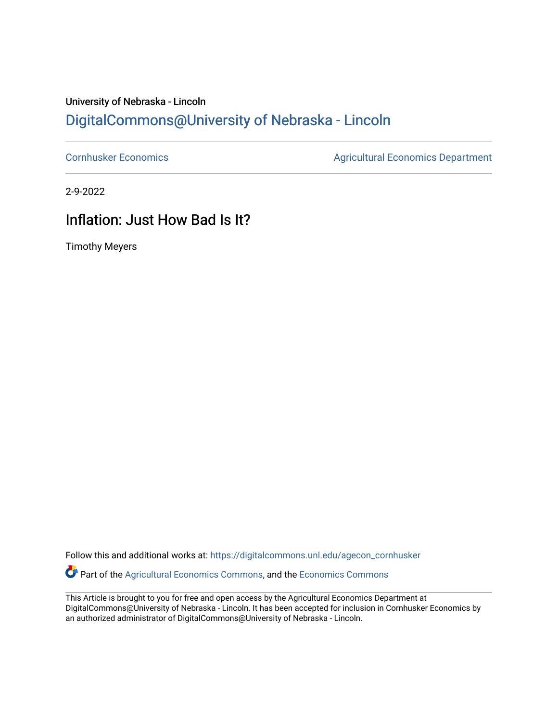### University of Nebraska - Lincoln [DigitalCommons@University of Nebraska - Lincoln](https://digitalcommons.unl.edu/)

[Cornhusker Economics](https://digitalcommons.unl.edu/agecon_cornhusker) **Agricultural Economics** Department

2-9-2022

## Inflation: Just How Bad Is It?

Timothy Meyers

Follow this and additional works at: [https://digitalcommons.unl.edu/agecon\\_cornhusker](https://digitalcommons.unl.edu/agecon_cornhusker?utm_source=digitalcommons.unl.edu%2Fagecon_cornhusker%2F1136&utm_medium=PDF&utm_campaign=PDFCoverPages)  Part of the [Agricultural Economics Commons,](http://network.bepress.com/hgg/discipline/1225?utm_source=digitalcommons.unl.edu%2Fagecon_cornhusker%2F1136&utm_medium=PDF&utm_campaign=PDFCoverPages) and the [Economics Commons](http://network.bepress.com/hgg/discipline/340?utm_source=digitalcommons.unl.edu%2Fagecon_cornhusker%2F1136&utm_medium=PDF&utm_campaign=PDFCoverPages) 

This Article is brought to you for free and open access by the Agricultural Economics Department at DigitalCommons@University of Nebraska - Lincoln. It has been accepted for inclusion in Cornhusker Economics by an authorized administrator of DigitalCommons@University of Nebraska - Lincoln.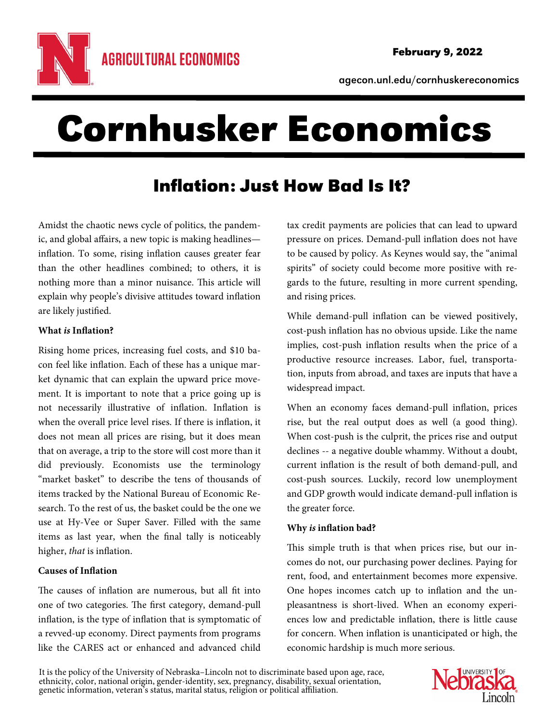

agecon.unl.edu/cornhuskereconomics

# Cornhusker Economics

# Inflation: Just How Bad Is It?

Amidst the chaotic news cycle of politics, the pandemic, and global affairs, a new topic is making headlines inflation. To some, rising inflation causes greater fear than the other headlines combined; to others, it is nothing more than a minor nuisance. This article will explain why people's divisive attitudes toward inflation are likely justified.

#### **What is Inflation?**

Rising home prices, increasing fuel costs, and \$10 bacon feel like inflation. Each of these has a unique market dynamic that can explain the upward price movement. It is important to note that a price going up is not necessarily illustrative of inflation. Inflation is when the overall price level rises. If there is inflation, it does not mean all prices are rising, but it does mean that on average, a trip to the store will cost more than it did previously. Economists use the terminology "market basket" to describe the tens of thousands of items tracked by the National Bureau of Economic Research. To the rest of us, the basket could be the one we use at Hy-Vee or Super Saver. Filled with the same items as last year, when the final tally is noticeably higher, that is inflation.

#### **Causes of Inflation**

The causes of inflation are numerous, but all fit into one of two categories. The first category, demand-pull inflation, is the type of inflation that is symptomatic of a revved-up economy. Direct payments from programs like the CARES act or enhanced and advanced child

tax credit payments are policies that can lead to upward pressure on prices. Demand-pull inflation does not have to be caused by policy. As Keynes would say, the "animal spirits" of society could become more positive with regards to the future, resulting in more current spending, and rising prices.

While demand-pull inflation can be viewed positively, cost-push inflation has no obvious upside. Like the name implies, cost-push inflation results when the price of a productive resource increases. Labor, fuel, transportation, inputs from abroad, and taxes are inputs that have a widespread impact.

When an economy faces demand-pull inflation, prices rise, but the real output does as well (a good thing). When cost-push is the culprit, the prices rise and output declines -- a negative double whammy. Without a doubt, current inflation is the result of both demand-pull, and cost-push sources. Luckily, record low unemployment and GDP growth would indicate demand-pull inflation is the greater force.

#### **Why is inflation bad?**

This simple truth is that when prices rise, but our incomes do not, our purchasing power declines. Paying for rent, food, and entertainment becomes more expensive. One hopes incomes catch up to inflation and the unpleasantness is short-lived. When an economy experiences low and predictable inflation, there is little cause for concern. When inflation is unanticipated or high, the economic hardship is much more serious.

It is the policy of the University of Nebraska–Lincoln not to discriminate based upon age, race, ethnicity, color, national origin, gender-identity, sex, pregnancy, disability, sexual orientation, genetic information, vete